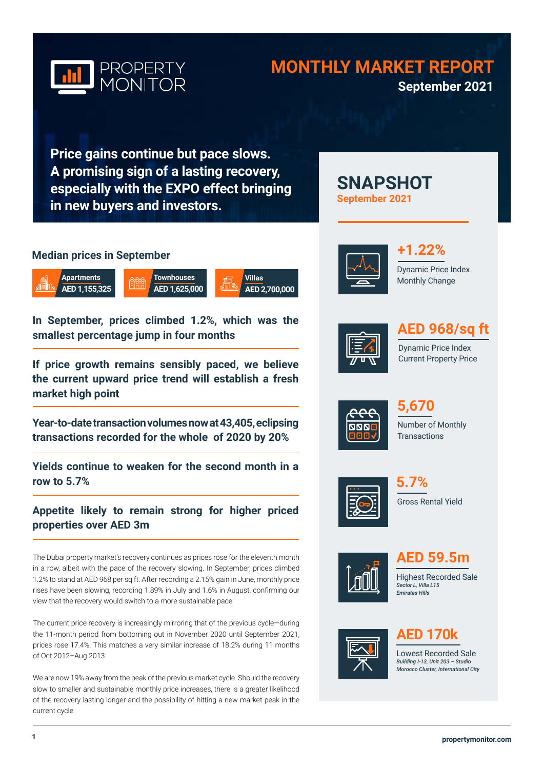

# **MONTHLY MARKET REPORT September 2021**

**SNAPSHOT** 

**September 2021**

**Price gains continue but pace slows. A promising sign of a lasting recovery, especially with the EXPO effect bringing in new buyers and investors.**

# **Median prices in September**



**Villas AED 2,700,000**

**In September, prices climbed 1.2%, which was the smallest percentage jump in four months**

**If price growth remains sensibly paced, we believe the current upward price trend will establish a fresh market high point**

**Year-to-date transaction volumes now at 43,405, eclipsing transactions recorded for the whole of 2020 by 20%**

**Yields continue to weaken for the second month in a row to 5.7%** 

**Appetite likely to remain strong for higher priced properties over AED 3m** 

The Dubai property market's recovery continues as prices rose for the eleventh month in a row, albeit with the pace of the recovery slowing. In September, prices climbed 1.2% to stand at AED 968 per sq ft. After recording a 2.15% gain in June, monthly price rises have been slowing, recording 1.89% in July and 1.6% in August, confirming our view that the recovery would switch to a more sustainable pace.

The current price recovery is increasingly mirroring that of the previous cycle—during the 11-month period from bottoming out in November 2020 until September 2021, prices rose 17.4%. This matches a very similar increase of 18.2% during 11 months of Oct 2012–Aug 2013.

We are now 19% away from the peak of the previous market cycle. Should the recovery slow to smaller and sustainable monthly price increases, there is a greater likelihood of the recovery lasting longer and the possibility of hitting a new market peak in the current cycle.



Dynamic Price Index Monthly Change **+1.22%**





Dynamic Price Index Current Property Price



Number of Monthly **Transactions 5,670**



Gross Rental Yield **5.7%**



**AED 59.5m**





# **AED 170k**

Lowest Recorded Sale *Building I-13, Unit 203 – Studio Morocco Cluster, International City*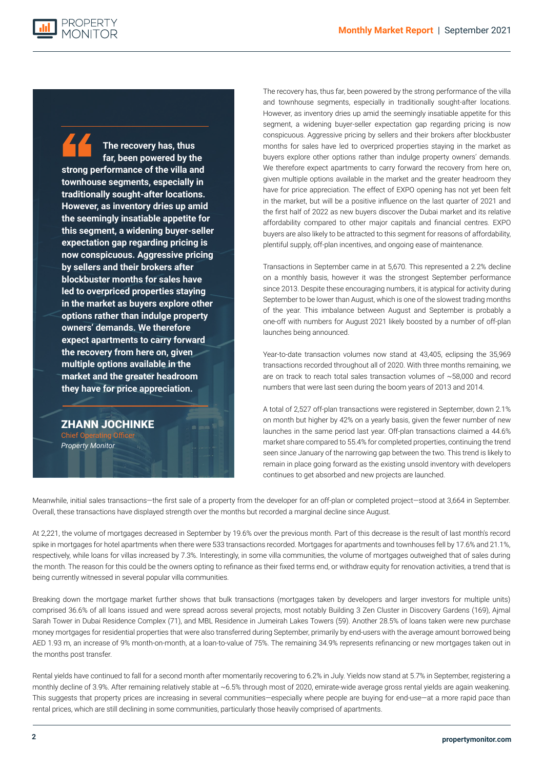**The recovery has, thus far, been powered by the strong performance of the villa and townhouse segments, especially in traditionally sought-after locations. However, as inventory dries up amid the seemingly insatiable appetite for this segment, a widening buyer-seller expectation gap regarding pricing is now conspicuous. Aggressive pricing by sellers and their brokers after blockbuster months for sales have led to overpriced properties staying in the market as buyers explore other options rather than indulge property owners' demands. We therefore expect apartments to carry forward the recovery from here on, given multiple options available in the market and the greater headroom they have for price appreciation.** 

**PROPERTY** 

ZHANN JOCHINKE **Chief Operating Officer** *Property Monitor*

The recovery has, thus far, been powered by the strong performance of the villa and townhouse segments, especially in traditionally sought-after locations. However, as inventory dries up amid the seemingly insatiable appetite for this segment, a widening buyer-seller expectation gap regarding pricing is now conspicuous. Aggressive pricing by sellers and their brokers after blockbuster months for sales have led to overpriced properties staying in the market as buyers explore other options rather than indulge property owners' demands. We therefore expect apartments to carry forward the recovery from here on, given multiple options available in the market and the greater headroom they have for price appreciation. The effect of EXPO opening has not yet been felt in the market, but will be a positive influence on the last quarter of 2021 and the first half of 2022 as new buyers discover the Dubai market and its relative affordability compared to other major capitals and financial centres. EXPO buyers are also likely to be attracted to this segment for reasons of affordability, plentiful supply, off-plan incentives, and ongoing ease of maintenance.

Transactions in September came in at 5,670. This represented a 2.2% decline on a monthly basis, however it was the strongest September performance since 2013. Despite these encouraging numbers, it is atypical for activity during September to be lower than August, which is one of the slowest trading months of the year. This imbalance between August and September is probably a one-off with numbers for August 2021 likely boosted by a number of off-plan launches being announced.

Year-to-date transaction volumes now stand at 43,405, eclipsing the 35,969 transactions recorded throughout all of 2020. With three months remaining, we are on track to reach total sales transaction volumes of ~58,000 and record numbers that were last seen during the boom years of 2013 and 2014.

A total of 2,527 off-plan transactions were registered in September, down 2.1% on month but higher by 42% on a yearly basis, given the fewer number of new launches in the same period last year. Off-plan transactions claimed a 44.6% market share compared to 55.4% for completed properties, continuing the trend seen since January of the narrowing gap between the two. This trend is likely to remain in place going forward as the existing unsold inventory with developers continues to get absorbed and new projects are launched.

Meanwhile, initial sales transactions—the first sale of a property from the developer for an off-plan or completed project—stood at 3,664 in September. Overall, these transactions have displayed strength over the months but recorded a marginal decline since August.

At 2,221, the volume of mortgages decreased in September by 19.6% over the previous month. Part of this decrease is the result of last month's record spike in mortgages for hotel apartments when there were 533 transactions recorded. Mortgages for apartments and townhouses fell by 17.6% and 21.1%, respectively, while loans for villas increased by 7.3%. Interestingly, in some villa communities, the volume of mortgages outweighed that of sales during the month. The reason for this could be the owners opting to refinance as their fixed terms end, or withdraw equity for renovation activities, a trend that is being currently witnessed in several popular villa communities.

Breaking down the mortgage market further shows that bulk transactions (mortgages taken by developers and larger investors for multiple units) comprised 36.6% of all loans issued and were spread across several projects, most notably Building 3 Zen Cluster in Discovery Gardens (169), Ajmal Sarah Tower in Dubai Residence Complex (71), and MBL Residence in Jumeirah Lakes Towers (59). Another 28.5% of loans taken were new purchase money mortgages for residential properties that were also transferred during September, primarily by end-users with the average amount borrowed being AED 1.93 m, an increase of 9% month-on-month, at a loan-to-value of 75%. The remaining 34.9% represents refinancing or new mortgages taken out in the months post transfer.

Rental yields have continued to fall for a second month after momentarily recovering to 6.2% in July. Yields now stand at 5.7% in September, registering a monthly decline of 3.9%. After remaining relatively stable at ~6.5% through most of 2020, emirate-wide average gross rental yields are again weakening. This suggests that property prices are increasing in several communities—especially where people are buying for end-use—at a more rapid pace than rental prices, which are still declining in some communities, particularly those heavily comprised of apartments.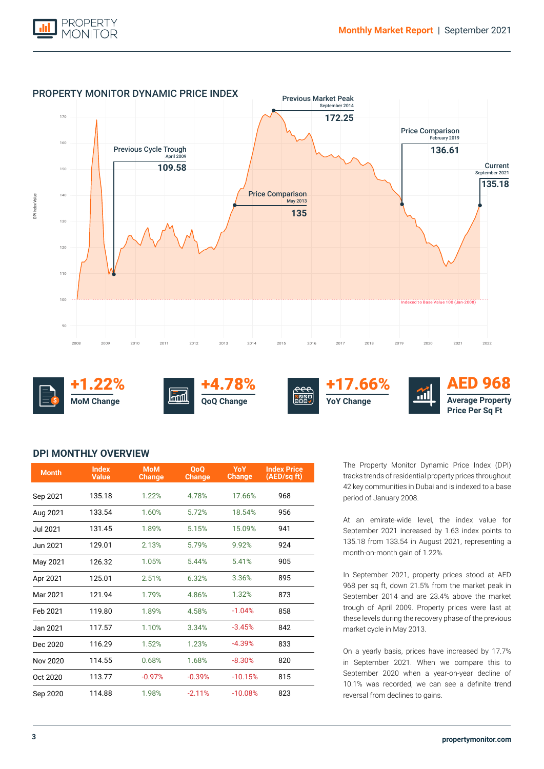



# **DPI MONTHLY OVERVIEW**

| <b>Month</b>    | <b>Index</b><br><b>Value</b> | <b>MoM</b><br><b>Change</b> | <b>OoO</b><br><b>Change</b> | <b>YoY</b><br>Change | <b>Index Price</b><br>(AED/sq ft) |
|-----------------|------------------------------|-----------------------------|-----------------------------|----------------------|-----------------------------------|
| Sep 2021        | 135.18                       | 1.22%                       | 4.78%                       | 17.66%               | 968                               |
| Aug 2021        | 133.54                       | 1.60%                       | 5.72%                       | 18.54%               | 956                               |
| <b>Jul 2021</b> | 131.45                       | 1.89%                       | 5.15%                       | 15.09%               | 941                               |
| Jun 2021        | 129.01                       | 2.13%                       | 5.79%                       | 9.92%                | 924                               |
| May 2021        | 126.32                       | 1.05%                       | 5.44%                       | 5.41%                | 905                               |
| Apr 2021        | 125.01                       | 2.51%                       | 6.32%                       | 3.36%                | 895                               |
| Mar 2021        | 121.94                       | 1.79%                       | 4.86%                       | 1.32%                | 873                               |
| Feb 2021        | 119.80                       | 1.89%                       | 4.58%                       | $-1.04%$             | 858                               |
| Jan 2021        | 117.57                       | 1.10%                       | 3.34%                       | $-3.45%$             | 842                               |
| Dec 2020        | 116.29                       | 1.52%                       | 1.23%                       | $-4.39%$             | 833                               |
| Nov 2020        | 114.55                       | 0.68%                       | 1.68%                       | $-8.30%$             | 820                               |
| Oct 2020        | 113.77                       | $-0.97%$                    | $-0.39%$                    | $-10.15%$            | 815                               |
| Sep 2020        | 114.88                       | 1.98%                       | $-2.11%$                    | $-10.08%$            | 823                               |

The Property Monitor Dynamic Price Index (DPI) tracks trends of residential property prices throughout 42 key communities in Dubai and is indexed to a base period of January 2008.

At an emirate-wide level, the index value for September 2021 increased by 1.63 index points to 135.18 from 133.54 in August 2021, representing a month-on-month gain of 1.22%.

In September 2021, property prices stood at AED 968 per sq ft, down 21.5% from the market peak in September 2014 and are 23.4% above the market trough of April 2009. Property prices were last at these levels during the recovery phase of the previous market cycle in May 2013.

On a yearly basis, prices have increased by 17.7% in September 2021. When we compare this to September 2020 when a year-on-year decline of 10.1% was recorded, we can see a definite trend reversal from declines to gains.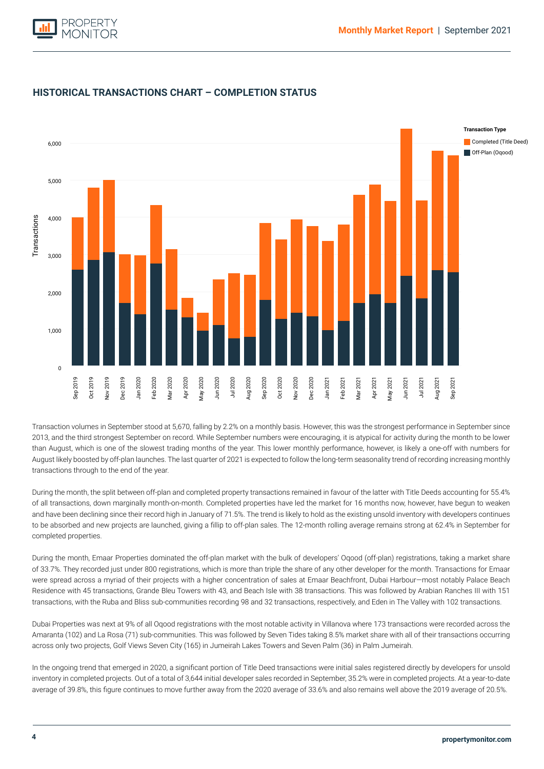



# **HISTORICAL TRANSACTIONS CHART – COMPLETION STATUS**

transactions through to the end of the year. Transaction volumes in September stood at 5,670, falling by 2.2% on a monthly basis. However, this was the strongest performance in September since 2013, and the third strongest September on record. While September numbers were encouraging, it is atypical for activity during the month to be lower than August, which is one of the slowest trading months of the year. This lower monthly performance, however, is likely a one-off with numbers for August likely boosted by off-plan launches. The last quarter of 2021 is expected to follow the long-term seasonality trend of recording increasing monthly

During the month, the split between off-plan and completed property transactions remained in favour of the latter with Title Deeds accounting for 55.4% of all transactions, down marginally month-on-month. Completed properties have led the market for 16 months now, however, have begun to weaken and have been declining since their record high in January of 71.5%. The trend is likely to hold as the existing unsold inventory with developers continues to be absorbed and new projects are launched, giving a fillip to off-plan sales. The 12-month rolling average remains strong at 62.4% in September for completed properties.

During the month, Emaar Properties dominated the off-plan market with the bulk of developers' Oqood (off-plan) registrations, taking a market share of 33.7%. They recorded just under 800 registrations, which is more than triple the share of any other developer for the month. Transactions for Emaar were spread across a myriad of their projects with a higher concentration of sales at Emaar Beachfront, Dubai Harbour—most notably Palace Beach Residence with 45 transactions, Grande Bleu Towers with 43, and Beach Isle with 38 transactions. This was followed by Arabian Ranches III with 151 transactions, with the Ruba and Bliss sub-communities recording 98 and 32 transactions, respectively, and Eden in The Valley with 102 transactions.

Dubai Properties was next at 9% of all Oqood registrations with the most notable activity in Villanova where 173 transactions were recorded across the Amaranta (102) and La Rosa (71) sub-communities. This was followed by Seven Tides taking 8.5% market share with all of their transactions occurring across only two projects, Golf Views Seven City (165) in Jumeirah Lakes Towers and Seven Palm (36) in Palm Jumeirah.

In the ongoing trend that emerged in 2020, a significant portion of Title Deed transactions were initial sales registered directly by developers for unsold inventory in completed projects. Out of a total of 3,644 initial developer sales recorded in September, 35.2% were in completed projects. At a year-to-date average of 39.8%, this figure continues to move further away from the 2020 average of 33.6% and also remains well above the 2019 average of 20.5%.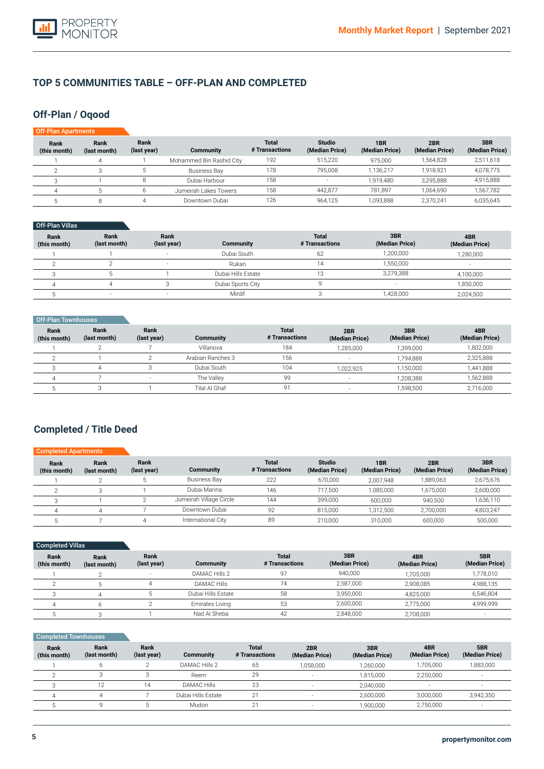

# **TOP 5 COMMUNITIES TABLE – OFF-PLAN AND COMPLETED**

# **Off-Plan / Oqood**

| <b>Off-Plan Apartments</b> |                      |                     |                          |                                |                                 |                                   |                       |                       |
|----------------------------|----------------------|---------------------|--------------------------|--------------------------------|---------------------------------|-----------------------------------|-----------------------|-----------------------|
| Rank<br>(this month)       | Rank<br>(last month) | Rank<br>(last year) | Community                | <b>Total</b><br># Transactions | <b>Studio</b><br>(Median Price) | 1 <sub>BR</sub><br>(Median Price) | 2BR<br>(Median Price) | 3BR<br>(Median Price) |
|                            | 4                    |                     | Mohammed Bin Rashid City | 192                            | 515,220                         | 975.000                           | 1.564.828             | 2,511,618             |
|                            |                      |                     | Business Bay             | 178                            | 795.008                         | 1.136.217                         | 1.918.921             | 4,078,775             |
|                            |                      |                     | Dubai Harbour            | 158                            |                                 | 1.919.480                         | 3,295,888             | 4,915,888             |
|                            |                      |                     | Jumeirah Lakes Towers    | 158                            | 442.877                         | 781.897                           | 1.064.690             | 1,567,782             |
|                            | 8                    |                     | Downtown Dubai           | 126                            | 964,125                         | 1,093,888                         | 2,370,241             | 6,035,645             |

| Off-Plan Villas |  |
|-----------------|--|
|                 |  |
|                 |  |

| Rank<br>(this month) | Rank<br>(last month) | <b>Rank</b><br>(last year) | Community          | <b>Total</b><br># Transactions | 3BR<br>(Median Price)    | 4BR<br>(Median Price) |
|----------------------|----------------------|----------------------------|--------------------|--------------------------------|--------------------------|-----------------------|
|                      |                      | $\overline{\phantom{0}}$   | Dubai South        | 62                             | 1,200,000                | 1,280,000             |
|                      |                      | $\overline{\phantom{0}}$   | Rukan              |                                | 1,550,000                | $\sim$                |
|                      |                      |                            | Dubai Hills Estate |                                | 3,279,388                | 4,100,000             |
|                      |                      |                            | Dubai Sports City  |                                | $\overline{\phantom{a}}$ | 1,850,000             |
|                      |                      |                            | Mirdif             |                                | 1,428,000                | 2,024,500             |

| Off-Plan Townhouses         |                      |                          |                   |                                |                          |                       |                       |
|-----------------------------|----------------------|--------------------------|-------------------|--------------------------------|--------------------------|-----------------------|-----------------------|
| <b>Rank</b><br>(this month) | Rank<br>(last month) | Rank<br>(last year)      | Community         | <b>Total</b><br># Transactions | 2BR<br>(Median Price)    | 3BR<br>(Median Price) | 4BR<br>(Median Price) |
|                             |                      |                          | Villanova         | 184                            | 1,285,000                | 1,399,000             | 1,802,000             |
|                             |                      |                          | Arabian Ranches 3 | 156                            |                          | 1,794,888             | 2,325,888             |
|                             |                      |                          | Dubai South       | 104                            | 1.022.925                | 1,150,000             | 1,441,888             |
|                             |                      | $\overline{\phantom{a}}$ | The Valley        | 99                             |                          | 1,208,388             | 1,562,888             |
|                             |                      |                          | Tilal Al Ghaf     | 91                             | $\overline{\phantom{a}}$ | 1,598,500             | 2,716,000             |

# **Completed / Title Deed**

| Completed Apartments |                      |                     |                         |                                |                                 |                       |                       |                       |
|----------------------|----------------------|---------------------|-------------------------|--------------------------------|---------------------------------|-----------------------|-----------------------|-----------------------|
| Rank<br>(this month) | Rank<br>(last month) | Rank<br>(last year) | Community               | <b>Total</b><br># Transactions | <b>Studio</b><br>(Median Price) | 1BR<br>(Median Price) | 2BR<br>(Median Price) | 3BR<br>(Median Price) |
|                      |                      |                     | <b>Business Bay</b>     | 222                            | 670.000                         | 2,007,948             | 1,889,063             | 2,675,676             |
|                      |                      |                     | Dubai Marina            | 146                            | 717.500                         | 1,080,000             | 1,675,000             | 2,600,000             |
|                      |                      |                     | Jumeirah Village Circle | 144                            | 399,000                         | 600.000               | 940.500               | 1,636,110             |
| Δ                    |                      |                     | Downtown Dubai          | 92                             | 815,000                         | 1,312,500             | 2,700,000             | 4,803,247             |
|                      |                      |                     | International City      | 89                             | 210,000                         | 310.000               | 600.000               | 500,000               |

| <b>Completed Villas</b> |                      |                     |                    |                                |                       |                       |                       |
|-------------------------|----------------------|---------------------|--------------------|--------------------------------|-----------------------|-----------------------|-----------------------|
| Rank<br>(this month)    | Rank<br>(last month) | Rank<br>(last year) | Community          | <b>Total</b><br># Transactions | 3BR<br>(Median Price) | 4BR<br>(Median Price) | 5BR<br>(Median Price) |
|                         |                      | ۰.                  | DAMAC Hills 2      | 97                             | 940.000               | 1,705,000             | 1,778,010             |
|                         |                      |                     | DAMAC Hills        | 74                             | 2,587,000             | 2,908,085             | 4,988,135             |
|                         |                      |                     | Dubai Hills Estate | 58                             | 3,950,000             | 4.825.000             | 6,546,804             |
|                         |                      |                     | Emirates Living    | 53                             | 2,600,000             | 2.775.000             | 4,999,999             |
|                         |                      |                     | Nad Al Sheba       | 42                             | 2,848,000             | 2,708,000             |                       |

| <b>Completed Townhouses</b> |  |
|-----------------------------|--|

| Rank<br>(this month) | Rank<br>(last month) | Rank<br>(last year) | <b>Community</b>   | <b>Total</b><br># Transactions | 2BR<br>(Median Price) | 3BR<br>(Median Price) | 4BR<br>(Median Price)    | 5BR<br>(Median Price)    |
|----------------------|----------------------|---------------------|--------------------|--------------------------------|-----------------------|-----------------------|--------------------------|--------------------------|
|                      |                      |                     | DAMAC Hills 2      | 65                             | 1,058,000             | 1.260.000             | ,705,000                 | 1,883,000                |
|                      |                      |                     | Reem               | 29                             | -                     | 1,815,000             | 2,250,000                |                          |
|                      |                      | 14                  | <b>DAMAC Hills</b> | 23                             | ÷.                    | 2.040.000             | $\overline{\phantom{a}}$ |                          |
|                      | 4                    |                     | Dubai Hills Estate | 21                             | -                     | 2.600.000             | 3,000,000                | 3,942,350                |
|                      |                      |                     | Mudon              |                                | $\sim$                | 1.900.000             | 2,750,000                | $\overline{\phantom{0}}$ |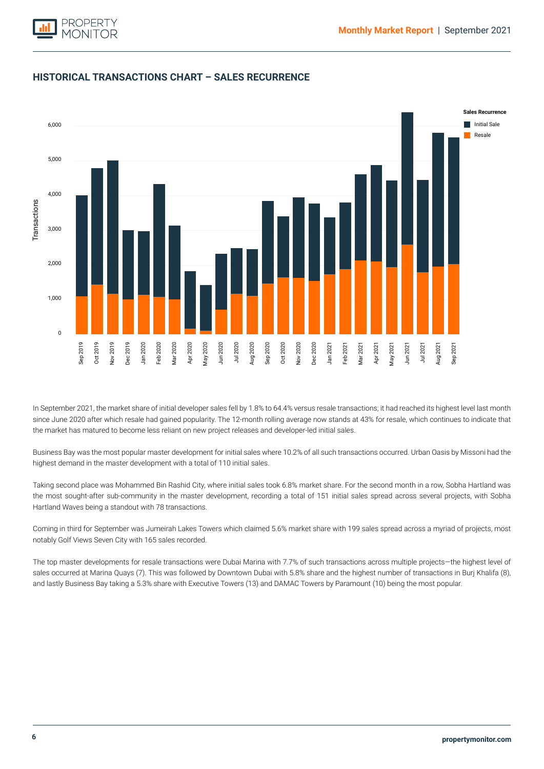



# **HISTORICAL TRANSACTIONS CHART – SALES RECURRENCE**

In September 2021, the market share of initial developer sales fell by 1.8% to 64.4% versus resale transactions; it had reached its highest level last month since June 2020 after which resale had gained popularity. The 12-month rolling average now stands at 43% for resale, which continues to indicate that the market has matured to become less reliant on new project releases and developer-led initial sales.

Business Bay was the most popular master development for initial sales where 10.2% of all such transactions occurred. Urban Oasis by Missoni had the highest demand in the master development with a total of 110 initial sales.

Taking second place was Mohammed Bin Rashid City, where initial sales took 6.8% market share. For the second month in a row, Sobha Hartland was the most sought-after sub-community in the master development, recording a total of 151 initial sales spread across several projects, with Sobha Hartland Waves being a standout with 78 transactions.

Coming in third for September was Jumeirah Lakes Towers which claimed 5.6% market share with 199 sales spread across a myriad of projects, most notably Golf Views Seven City with 165 sales recorded.

The top master developments for resale transactions were Dubai Marina with 7.7% of such transactions across multiple projects—the highest level of sales occurred at Marina Quays (7). This was followed by Downtown Dubai with 5.8% share and the highest number of transactions in Burj Khalifa (8), and lastly Business Bay taking a 5.3% share with Executive Towers (13) and DAMAC Towers by Paramount (10) being the most popular.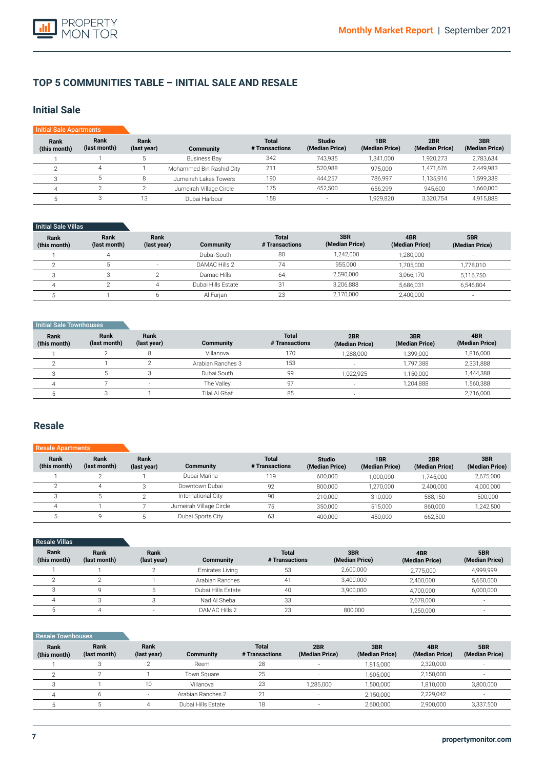# **TOP 5 COMMUNITIES TABLE – INITIAL SALE AND RESALE**

# **Initial Sale**

| <b>Initial Sale Apartments</b> |                      |                     |                          |                                |                                 |                       |                       |                       |
|--------------------------------|----------------------|---------------------|--------------------------|--------------------------------|---------------------------------|-----------------------|-----------------------|-----------------------|
| Rank<br>(this month)           | Rank<br>(last month) | Rank<br>(last year) | Community                | <b>Total</b><br># Transactions | <b>Studio</b><br>(Median Price) | 1BR<br>(Median Price) | 2BR<br>(Median Price) | 3BR<br>(Median Price) |
|                                |                      |                     | <b>Business Bay</b>      | 342                            | 743,935                         | 1.341.000             | 1,920,273             | 2,783,634             |
|                                |                      |                     | Mohammed Bin Rashid City | 211                            | 520.988                         | 975.000               | 1.471.676             | 2,449,983             |
|                                |                      |                     | Jumeirah Lakes Towers    | 190                            | 444.257                         | 786.997               | 1.135.916             | 1,599,338             |
|                                |                      |                     | Jumeirah Village Circle  | 175                            | 452.500                         | 656.299               | 945,600               | 1,660,000             |
|                                |                      | 13                  | Dubai Harbour            | 158                            |                                 | 1,929,820             | 3,320,754             | 4,915,888             |

### Initial Sale Villas

| Rank<br>(this month) | Rank<br>(last month) | Rank<br>(last year) | <b>Community</b>   | <b>Total</b><br># Transactions | 3BR<br>(Median Price) | 4BR<br>(Median Price) | 5BR<br>(Median Price) |
|----------------------|----------------------|---------------------|--------------------|--------------------------------|-----------------------|-----------------------|-----------------------|
|                      |                      | $\sim$              | Dubai South        | 80                             | 1.242.000             | 1.280.000             |                       |
|                      |                      | -                   | DAMAC Hills 2      |                                | 955.000               | ,705,000              | 1,778,010             |
|                      |                      |                     | Damac Hills        | 64                             | 2.590.000             | 3.066.170             | 5,116,750             |
|                      |                      |                     | Dubai Hills Estate | 31                             | 3.206.888             | 5.686.031             | 6,546,804             |
|                      |                      |                     | Al Furjan          | 23                             | 2,170,000             | 2,400,000             |                       |

#### **Initial Sale Townhouses**

| Rank<br>(this month) | Rank<br>(last month) | Rank<br>(last year) | Community         | <b>Total</b><br># Transactions | 2BR<br>(Median Price)    | 3BR<br>(Median Price) | 4BR<br>(Median Price) |
|----------------------|----------------------|---------------------|-------------------|--------------------------------|--------------------------|-----------------------|-----------------------|
|                      |                      |                     | Villanova         | 170                            | 1,288,000                | 1,399,000             | 1,816,000             |
|                      |                      |                     | Arabian Ranches 3 | 153                            | $\overline{\phantom{a}}$ | 1,797,388             | 2,331,888             |
|                      |                      |                     | Dubai South       | 99                             | 1.022.925                | 1,150,000             | 1,444,388             |
|                      |                      |                     | The Vallev        | 97                             |                          | 1,204,888             | 1,560,388             |
|                      |                      |                     | Tilal Al Ghaf     | 85                             | $\overline{\phantom{a}}$ |                       | 2,716,000             |

## **Resale**

#### **Rank (this month)** 1  $\overline{2}$ 3 4 5 **Rank (last month)** 2 4 5 1 9 **Rank (last year)** 1 3  $\overline{2}$  $\overline{7}$ 5 **Community**  Dubai Marina Downtown Dubai International City Jumeirah Village Circle Dubai Sports City **Total # Transactions** 119 92  $\overline{90}$ 75 63 Resale A **Studio (Median Price)** 600,000 800,000 210,000 350,000 400,000 **1BR (Median Price)** 1,000,000 1,270,000 310,000 515,000 450,000 **2BR (Median Price)** 1,745,000 2,400,000 588,150 860,000 662,500 **(Median Price)** 2,675,000 4,000,000 500,000 1,242,500

| <b>Resale Villas</b> |                      |                     |                    |                                |                       |                       |                          |
|----------------------|----------------------|---------------------|--------------------|--------------------------------|-----------------------|-----------------------|--------------------------|
| Rank<br>(this month) | Rank<br>(last month) | Rank<br>(last year) | <b>Community</b>   | <b>Total</b><br># Transactions | 3BR<br>(Median Price) | 4BR<br>(Median Price) | 5BR<br>(Median Price)    |
|                      |                      |                     | Emirates Living    | 53                             | 2,600,000             | 2,775,000             | 4,999,999                |
|                      |                      |                     | Arabian Ranches    | 41                             | 3,400,000             | 2,400,000             | 5,650,000                |
|                      |                      |                     | Dubai Hills Estate | 40                             | 3,900,000             | 4.700.000             | 6,000,000                |
|                      |                      |                     | Nad Al Sheba       | 33                             | -                     | 2,678,000             | $\overline{\phantom{a}}$ |
|                      |                      |                     | DAMAC Hills 2      | 23                             | 800,000               | 1,250,000             |                          |

#### Resale Townhouses

| Rank<br>(this month) | Rank<br>(last month) | Rank<br>(last year) | Community          | <b>Total</b><br># Transactions | 2BR<br>(Median Price) | 3BR<br>(Median Price) | 4BR<br>(Median Price) | 5BR<br>(Median Price) |
|----------------------|----------------------|---------------------|--------------------|--------------------------------|-----------------------|-----------------------|-----------------------|-----------------------|
|                      |                      |                     | Reem               | 28                             | $\sim$                | 1,815,000             | 2,320,000             |                       |
|                      |                      |                     | Town Square        | 25                             |                       | 1,605,000             | 2,150,000             | . .                   |
|                      |                      | 10                  | Villanova          | 23                             | 1.285.000             | 1,500,000             | 1,810,000             | 3,800,000             |
|                      |                      |                     | Arabian Ranches 2  | 21                             |                       | 2.150.000             | 2.229.042             |                       |
|                      |                      |                     | Dubai Hills Estate | 18                             |                       | 2.600.000             | 2,900,000             | 3,337,500             |

**3BR** 

-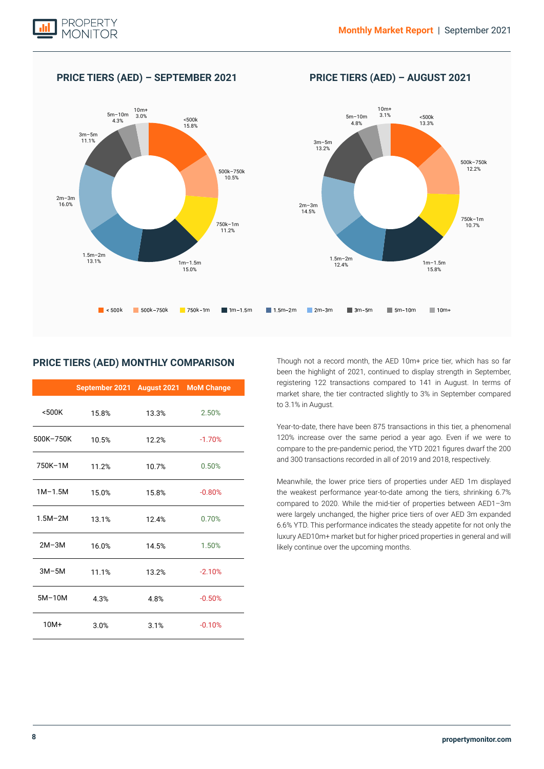

# **PRICE TIERS (AED) – SEPTEMBER 2021 PRICE TIERS (AED) – AUGUST 2021**



## **PRICE TIERS (AED) MONTHLY COMPARISON**

|             | September 2021 August 2021 MoM Change |       |          |
|-------------|---------------------------------------|-------|----------|
| $500K$      | 15.8%                                 | 13.3% | 2.50%    |
| 500K-750K   | 10.5%                                 | 12.2% | $-1.70%$ |
| 750K-1M     | 11.2%                                 | 10.7% | 0.50%    |
| $1M - 1.5M$ | 15.0%                                 | 15.8% | $-0.80%$ |
| $1.5M - 2M$ | 13.1%                                 | 12.4% | 0.70%    |
| $2M-3M$     | 16.0%                                 | 14.5% | 1.50%    |
| $3M-5M$     | 11.1%                                 | 13.2% | $-2.10%$ |
| $5M-10M$    | 4.3%                                  | 4.8%  | $-0.50%$ |
| $10M+$      | 3.0%                                  | 3.1%  | $-0.10%$ |

Though not a record month, the AED 10m+ price tier, which has so far been the highlight of 2021, continued to display strength in September, registering 122 transactions compared to 141 in August. In terms of market share, the tier contracted slightly to 3% in September compared to 3.1% in August.

Year-to-date, there have been 875 transactions in this tier, a phenomenal 120% increase over the same period a year ago. Even if we were to compare to the pre-pandemic period, the YTD 2021 figures dwarf the 200 and 300 transactions recorded in all of 2019 and 2018, respectively.

Meanwhile, the lower price tiers of properties under AED 1m displayed the weakest performance year-to-date among the tiers, shrinking 6.7% compared to 2020. While the mid-tier of properties between AED1–3m were largely unchanged, the higher price tiers of over AED 3m expanded 6.6% YTD. This performance indicates the steady appetite for not only the luxury AED10m+ market but for higher priced properties in general and will likely continue over the upcoming months.